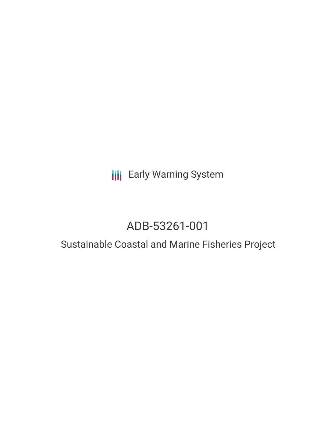## **III** Early Warning System

# ADB-53261-001

### Sustainable Coastal and Marine Fisheries Project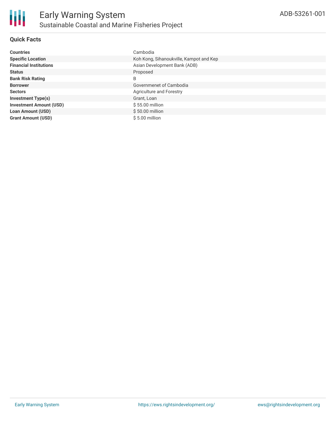

#### **Quick Facts**

| <b>Countries</b>               | Cambodia                                |
|--------------------------------|-----------------------------------------|
| <b>Specific Location</b>       | Koh Kong, Sihanoukville, Kampot and Kep |
| <b>Financial Institutions</b>  | Asian Development Bank (ADB)            |
| <b>Status</b>                  | Proposed                                |
| <b>Bank Risk Rating</b>        | B                                       |
| <b>Borrower</b>                | Governmenet of Cambodia                 |
| <b>Sectors</b>                 | Agriculture and Forestry                |
| <b>Investment Type(s)</b>      | Grant, Loan                             |
| <b>Investment Amount (USD)</b> | $$55.00$ million                        |
| <b>Loan Amount (USD)</b>       | $$50.00$ million                        |
| <b>Grant Amount (USD)</b>      | $$5.00$ million                         |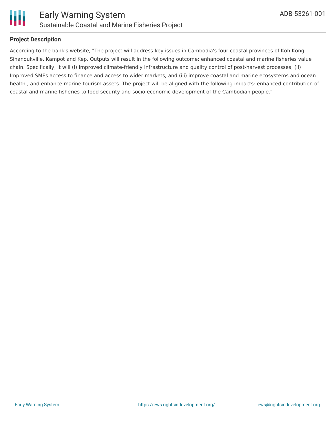

#### **Project Description**

According to the bank's website, "The project will address key issues in Cambodia's four coastal provinces of Koh Kong, Sihanoukville, Kampot and Kep. Outputs will result in the following outcome: enhanced coastal and marine fisheries value chain. Specifically, it will (i) Improved climate-friendly infrastructure and quality control of post-harvest processes; (ii) Improved SMEs access to finance and access to wider markets, and (iii) improve coastal and marine ecosystems and ocean health , and enhance marine tourism assets. The project will be aligned with the following impacts: enhanced contribution of coastal and marine fisheries to food security and socio-economic development of the Cambodian people."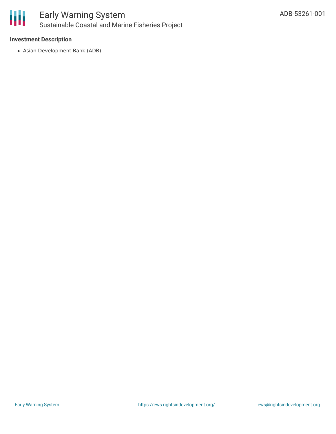

### Early Warning System Sustainable Coastal and Marine Fisheries Project

#### **Investment Description**

Asian Development Bank (ADB)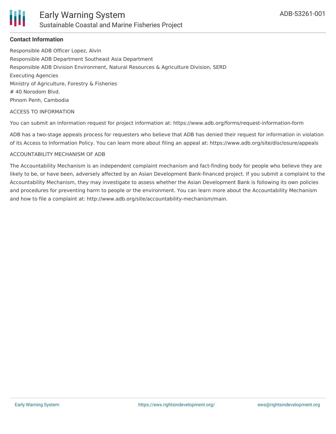#### **Contact Information**

Responsible ADB Officer Lopez, Alvin Responsible ADB Department Southeast Asia Department Responsible ADB Division Environment, Natural Resources & Agriculture Division, SERD Executing Agencies Ministry of Agriculture, Forestry & Fisheries # 40 Norodom Blvd. Phnom Penh, Cambodia

#### ACCESS TO INFORMATION

You can submit an information request for project information at: https://www.adb.org/forms/request-information-form

ADB has a two-stage appeals process for requesters who believe that ADB has denied their request for information in violation of its Access to Information Policy. You can learn more about filing an appeal at: https://www.adb.org/site/disclosure/appeals

#### ACCOUNTABILITY MECHANISM OF ADB

The Accountability Mechanism is an independent complaint mechanism and fact-finding body for people who believe they are likely to be, or have been, adversely affected by an Asian Development Bank-financed project. If you submit a complaint to the Accountability Mechanism, they may investigate to assess whether the Asian Development Bank is following its own policies and procedures for preventing harm to people or the environment. You can learn more about the Accountability Mechanism and how to file a complaint at: http://www.adb.org/site/accountability-mechanism/main.